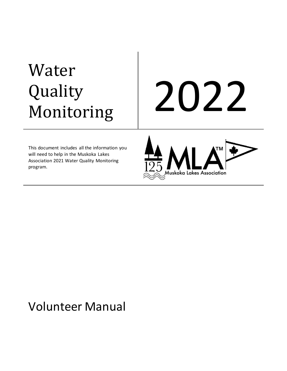# Water Quality

# Quality 2022<br>Monitoring

This document includes all the information you will need to help in the Muskoka Lakes Association 2021 Water Quality Monitoring program.



# Volunteer Manual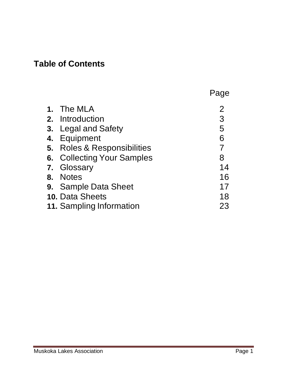## **Table of Contents**

|                             | Page |
|-----------------------------|------|
| 1. The MLA                  | 2    |
| 2. Introduction             | 3    |
| 3. Legal and Safety         | 5    |
| 4. Equipment                | 6    |
| 5. Roles & Responsibilities |      |
| 6. Collecting Your Samples  | 8    |
| 7. Glossary                 | 14   |
| 8. Notes                    | 16   |
| <b>9.</b> Sample Data Sheet | 17   |
| 10. Data Sheets             | 18   |
| 11. Sampling Information    | 23   |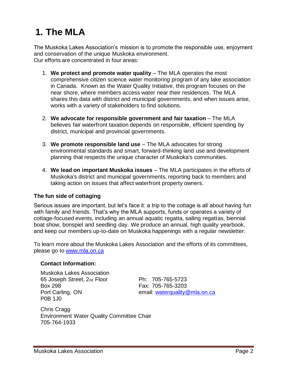# **1. The MLA**

The Muskoka Lakes Association's mission is to promote the responsible use, enjoyment and conservation of the unique Muskoka environment. Our efforts are concentrated in four areas:

- 1. **We protect and promote water quality** The MLA operates the most comprehensive citizen science water monitoring program of any lake association in Canada. Known as the Water Quality Initiative, this program focuses on the near shore, where members access water near their residences. The MLA shares this data with district and municipal governments, and when issues arise, works with a variety of stakeholders to find solutions.
- 2. **We advocate for responsible government and fair taxation** The MLA believes fair waterfront taxation depends on responsible, efficient spending by district, municipal and provincial governments.
- 3. **We promote responsible land use** The MLA advocates for strong environmental standards and smart, forward-thinking land use and development planning that respects the unique character of Muskoka's communities.
- 4. **We lead on important Muskoka issues** The MLA participates in the efforts of Muskoka's district and municipal governments, reporting back to members and taking action on issues that affect waterfront property owners.

#### **The fun side of cottaging**

Serious issues are important, but let's face it: a trip to the cottage is all about having fun with family and friends. That's why the MLA supports, funds or operates a variety of cottage-focused events, including an annual aquatic regatta, sailing regattas, biennial boat show, bonspiel and seedling day. We produce an annual, high quality yearbook, and keep our members up-to-date on Muskoka happenings with a regular newsletter.

To learn more about the Muskoka Lakes Association and the efforts of its committees, please go to [www.mla.on.ca](http://www.mla.on.ca/)

#### **Contact Information:**

Muskoka Lakes Association 65 Joseph Street, 2nd Floor Ph: 705-765-5723 Box 298 Fax: 705-765-3203 P0B 1J0

Port Carling, ON email: [waterquality@mla.on.ca](mailto:waterquality@mla.on.ca)

Chris Cragg Environment Water Quality Committee Chair 705-764-1933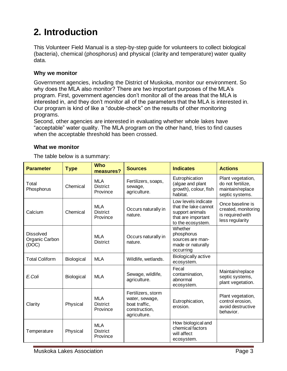# **2. Introduction**

This Volunteer Field Manual is a step-by-step guide for volunteers to collect biological (bacteria), chemical (phosphorus) and physical (clarity and temperature) water quality data.

#### **Why we monitor**

Government agencies, including the District of Muskoka, monitor our environment. So why does the MLA also monitor? There are two important purposes of the MLA's program. First, government agencies don't monitor all of the areas that the MLA is interested in, and they don't monitor all of the parameters that the MLA is interested in. Our program is kind of like a "double-check" on the results of other monitoring programs.

Second, other agencies are interested in evaluating whether whole lakes have "acceptable" water quality. The MLA program on the other hand, tries to find causes when the acceptable threshold has been crossed.

#### **What we monitor**

The table below is a summary:

| <b>Parameter</b>                            | <b>Type</b> | <b>Who</b><br>measures?                   | <b>Sources</b>                                                                         | <b>Indicates</b>                                                                                          | <b>Actions</b>                                                                 |
|---------------------------------------------|-------------|-------------------------------------------|----------------------------------------------------------------------------------------|-----------------------------------------------------------------------------------------------------------|--------------------------------------------------------------------------------|
| Total<br>Phosphorus                         | Chemical    | <b>MLA</b><br><b>District</b><br>Province | Fertilizers, soaps,<br>sewage,<br>agriculture.                                         | Eutrophication<br>(algae and plant<br>growth), colour, fish<br>habitat.                                   | Plant vegetation,<br>do not fertilize,<br>maintain/replace<br>septic systems.  |
| Calcium                                     | Chemical    | <b>MLA</b><br><b>District</b><br>Province | Occurs naturally in<br>nature.                                                         | Low levels indicate<br>that the lake cannot<br>support animals<br>that are important<br>to the ecosystem. | Once baseline is<br>created, monitoring<br>is required with<br>less regularity |
| <b>Dissolved</b><br>Organic Carbon<br>(DOC) |             | <b>MLA</b><br><b>District</b>             | Occurs naturally in<br>nature.                                                         | Whether<br>phosphorus<br>sources are man-<br>made or naturally<br>occurring                               |                                                                                |
| <b>Total Coliform</b>                       | Biological  | <b>MLA</b>                                | Wildlife, wetlands.                                                                    | <b>Biologically active</b><br>ecosystem.                                                                  |                                                                                |
| E.Coli                                      | Biological  | <b>MLA</b>                                | Sewage, wildlife,<br>agriculture.                                                      | Fecal<br>contamination,<br>abnormal<br>ecosystem.                                                         | Maintain/replace<br>septic systems,<br>plant vegetation.                       |
| Clarity                                     | Physical    | <b>MLA</b><br><b>District</b><br>Province | Fertilizers, storm<br>water, sewage,<br>boat traffic,<br>construction,<br>agriculture. | Eutrophication,<br>erosion.                                                                               | Plant vegetation,<br>control erosion,<br>avoid destructive<br>behavior.        |
| Temperature                                 | Physical    | <b>MLA</b><br><b>District</b><br>Province |                                                                                        | How biological and<br>chemical factors<br>will affect<br>ecosystem.                                       |                                                                                |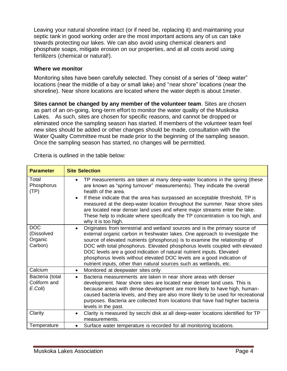Leaving your natural shoreline intact (or if need be, replacing it) and maintaining your septic tank in good working order are the most important actions any of us can take towards protecting our lakes. We can also avoid using chemical cleaners and phosphate soaps, mitigate erosion on our properties, and at all costs avoid using fertilizers (chemical or natural!).

#### **Where we monitor**

Monitoring sites have been carefully selected. They consist of a series of "deep water" locations (near the middle of a bay or small lake) and "near shore" locations (near the shoreline). Near shore locations are located where the water depth is about 1meter.

**Sites cannot be changed by any member of the volunteer team**. Sites are chosen as part of an on-going, long-term effort to monitor the water quality of the Muskoka Lakes. As such, sites are chosen for specific reasons, and cannot be dropped or eliminated once the sampling season has started. If members of the volunteer team feel new sites should be added or other changes should be made, consultation with the Water Quality Committee must be made prior to the beginning of the sampling season. Once the sampling season has started, no changes will be permitted.

| <b>Parameter</b>                               | <b>Site Selection</b>                                                                                                                                                                                                                                                                                                                                                                                                                                                                                                                                            |
|------------------------------------------------|------------------------------------------------------------------------------------------------------------------------------------------------------------------------------------------------------------------------------------------------------------------------------------------------------------------------------------------------------------------------------------------------------------------------------------------------------------------------------------------------------------------------------------------------------------------|
| Total<br>Phosphorus<br>(TP)                    | TP measurements are taken at many deep-water locations in the spring (these<br>$\bullet$<br>are known as "spring turnover" measurements). They indicate the overall<br>health of the area.<br>If these indicate that the area has surpassed an acceptable threshold, TP is<br>$\bullet$<br>measured at the deep-water location throughout the summer. Near shore sites<br>are located near denser land uses and where major streams enter the lake.<br>These help to indicate where specifically the TP concentration is too high, and<br>why it is too high.    |
| <b>DOC</b><br>(Dissolved<br>Organic<br>Carbon) | Originates from terrestrial and wetland sources and is the primary source of<br>$\bullet$<br>external organic carbon in freshwater lakes. One approach to investigate the<br>source of elevated nutrients (phosphorus) is to examine the relationship of<br>DOC with total phosphorus. Elevated phosphorus levels coupled with elevated<br>DOC levels are a good indication of natural nutrient inputs. Elevated<br>phosphorus levels without elevated DOC levels are a good indication of<br>nutrient inputs, other than natural sources such as wetlands, etc. |
| Calcium                                        | Monitored at deepwater sites only<br>$\bullet$                                                                                                                                                                                                                                                                                                                                                                                                                                                                                                                   |
| Bacteria (total<br>Coliform and<br>E.Coli)     | Bacteria measurements are taken in near shore areas with denser<br>$\bullet$<br>development. Near shore sites are located near denser land uses. This is<br>because areas with dense development are more likely to have high, human-<br>caused bacteria levels, and they are also more likely to be used for recreational<br>purposes. Bacteria are collected from locations that have had higher bacteria<br>levels in the past.                                                                                                                               |
| Clarity                                        | Clarity is measured by secchi disk at all deep-water locations identified for TP<br>$\bullet$<br>measurements.                                                                                                                                                                                                                                                                                                                                                                                                                                                   |
| Temperature                                    | Surface water temperature is recorded for all monitoring locations.<br>$\bullet$                                                                                                                                                                                                                                                                                                                                                                                                                                                                                 |

Criteria is outlined in the table below: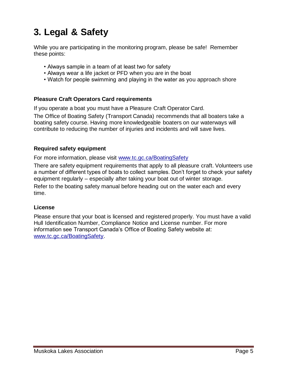# **3. Legal & Safety**

While you are participating in the monitoring program, please be safe! Remember these points:

- Always sample in a team of at least two for safety
- Always wear a life jacket or PFD when you are in the boat
- Watch for people swimming and playing in the water as you approach shore

#### **Pleasure Craft Operators Card requirements**

If you operate a boat you must have a Pleasure Craft Operator Card.

The Office of Boating Safety (Transport Canada) recommends that all boaters take a boating safety course. Having more knowledgeable boaters on our waterways will contribute to reducing the number of injuries and incidents and will save lives.

#### **Required safety equipment**

For more information, please visit [www.tc.gc.ca/BoatingSafety](http://www.tc.gc.ca/BoatingSafety)

There are safety equipment requirements that apply to all pleasure craft. Volunteers use a number of different types of boats to collect samples. Don't forget to check your safety equipment regularly – especially after taking your boat out of winter storage. Refer to the boating safety manual before heading out on the water each and every time.

#### **License**

Please ensure that your boat is licensed and registered properly. You must have a valid Hull Identification Number, Compliance Notice and License number. For more information see Transport Canada's Office of Boating Safety website at: [www.tc.gc.ca/BoatingSafety.](http://www.tc.gc.ca/BoatingSafety)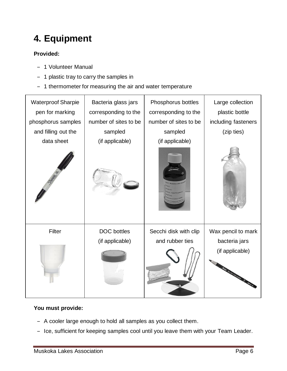# **4. Equipment**

#### **Provided:**

- ‒ 1 Volunteer Manual
- ‒ 1 plastic tray to carry the samples in
- 1 thermometer for measuring the air and water temperature



#### **You must provide:**

- ‒ A cooler large enough to hold all samples as you collect them.
- Ice, sufficient for keeping samples cool until you leave them with your Team Leader.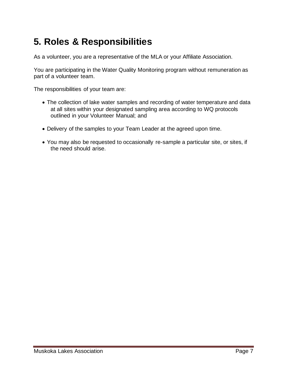# **5. Roles & Responsibilities**

As a volunteer, you are a representative of the MLA or your Affiliate Association.

You are participating in the Water Quality Monitoring program without remuneration as part of a volunteer team.

The responsibilities of your team are:

- The collection of lake water samples and recording of water temperature and data at all sites within your designated sampling area according to WQ protocols outlined in your Volunteer Manual; and
- Delivery of the samples to your Team Leader at the agreed upon time.
- You may also be requested to occasionally re-sample a particular site, or sites, if the need should arise.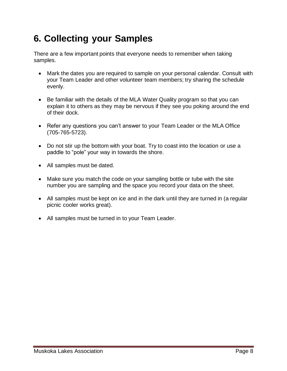# **6. Collecting your Samples**

There are a few important points that everyone needs to remember when taking samples.

- Mark the dates you are required to sample on your personal calendar. Consult with your Team Leader and other volunteer team members; try sharing the schedule evenly.
- Be familiar with the details of the MLA Water Quality program so that you can explain it to others as they may be nervous if they see you poking around the end of their dock.
- Refer any questions you can't answer to your Team Leader or the MLA Office (705-765-5723).
- Do not stir up the bottom with your boat. Try to coast into the location or use a paddle to "pole" your way in towards the shore.
- All samples must be dated.
- Make sure you match the code on your sampling bottle or tube with the site number you are sampling and the space you record your data on the sheet.
- All samples must be kept on ice and in the dark until they are turned in (a regular picnic cooler works great).
- All samples must be turned in to your Team Leader.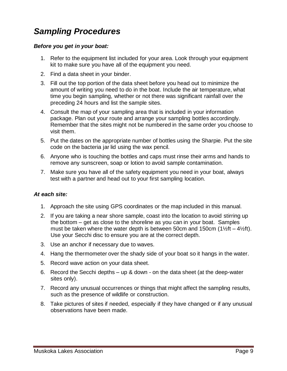### *Sampling Procedures*

#### *Before you get in your boat:*

- 1. Refer to the equipment list included for your area. Look through your equipment kit to make sure you have all of the equipment you need.
- 2. Find a data sheet in your binder.
- 3. Fill out the top portion of the data sheet before you head out to minimize the amount of writing you need to do in the boat. Include the air temperature, what time you begin sampling, whether or not there was significant rainfall over the preceding 24 hours and list the sample sites.
- 4. Consult the map of your sampling area that is included in your information package. Plan out your route and arrange your sampling bottles accordingly. Remember that the sites might not be numbered in the same order you choose to visit them.
- 5. Put the dates on the appropriate number of bottles using the Sharpie. Put the site code on the bacteria jar lid using the wax pencil.
- 6. Anyone who is touching the bottles and caps must rinse their arms and hands to remove any sunscreen, soap or lotion to avoid sample contamination.
- 7. Make sure you have all of the safety equipment you need in your boat, always test with a partner and head out to your first sampling location.

#### *At each site:*

- 1. Approach the site using GPS coordinates or the map included in this manual.
- 2. If you are taking a near shore sample, coast into the location to avoid stirring up the bottom – get as close to the shoreline as you can in your boat. Samples must be taken where the water depth is between 50cm and 150cm (1½ft –  $4\frac{1}{2}$ ft). Use your Secchi disc to ensure you are at the correct depth.
- 3. Use an anchor if necessary due to waves.
- 4. Hang the thermometer over the shady side of your boat so it hangs in the water.
- 5. Record wave action on your data sheet.
- 6. Record the Secchi depths up & down on the data sheet (at the deep-water sites only).
- 7. Record any unusual occurrences or things that might affect the sampling results, such as the presence of wildlife or construction.
- 8. Take pictures of sites if needed, especially if they have changed or if any unusual observations have been made.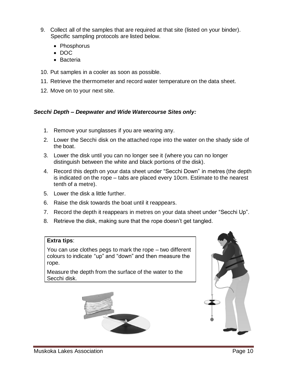- 9. Collect all of the samples that are required at that site (listed on your binder). Specific sampling protocols are listed below.
	- Phosphorus
	- DOC
	- Bacteria
- 10. Put samples in a cooler as soon as possible.
- 11. Retrieve the thermometer and record water temperature on the data sheet.
- 12. Move on to your next site.

#### *Secchi Depth – Deepwater and Wide Watercourse Sites only:*

- 1. Remove your sunglasses if you are wearing any.
- 2. Lower the Secchi disk on the attached rope into the water on the shady side of the boat.
- 3. Lower the disk until you can no longer see it (where you can no longer distinguish between the white and black portions of the disk).
- 4. Record this depth on your data sheet under "Secchi Down" in metres (the depth is indicated on the rope – tabs are placed every 10cm. Estimate to the nearest tenth of a metre).
- 5. Lower the disk a little further.
- 6. Raise the disk towards the boat until it reappears.
- 7. Record the depth it reappears in metres on your data sheet under "Secchi Up".
- 8. Retrieve the disk, making sure that the rope doesn't get tangled.

#### **Extra tips**:

You can use clothes pegs to mark the rope – two different colours to indicate "up" and "down" and then measure the rope.

Measure the depth from the surface of the water to the Secchi disk.



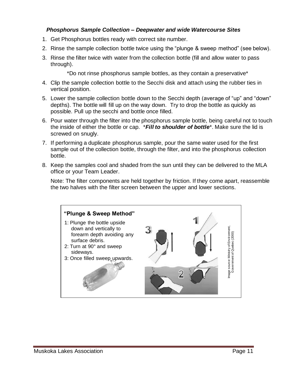#### *Phosphorus Sample Collection – Deepwater and wide Watercourse Sites*

- 1. Get Phosphorus bottles ready with correct site number.
- 2. Rinse the sample collection bottle twice using the "plunge & sweep method" (see below).
- 3. Rinse the filter twice with water from the collection bottle (fill and allow water to pass through).

\*Do not rinse phosphorus sample bottles, as they contain a preservative\*

- 4. Clip the sample collection bottle to the Secchi disk and attach using the rubber ties in vertical position.
- 5. Lower the sample collection bottle down to the Secchi depth (average of "up" and "down" depths). The bottle will fill up on the way down. Try to drop the bottle as quickly as possible. Pull up the secchi and bottle once filled.
- 6. Pour water through the filter into the phosphorus sample bottle, being careful not to touch the inside of either the bottle or cap. \**Fill to shoulder of bottle*\*. Make sure the lid is screwed on snugly.
- 7. If performing a duplicate phosphorus sample, pour the same water used for the first sample out of the collection bottle, through the filter, and into the phosphorus collection bottle.
- 8. Keep the samples cool and shaded from the sun until they can be delivered to the MLA office or your Team Leader.

Note: The filter components are held together by friction. If they come apart, reassemble the two halves with the filter screen between the upper and lower sections.

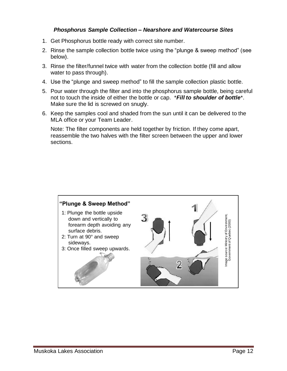#### *Phosphorus Sample Collection – Nearshore and Watercourse Sites*

- 1. Get Phosphorus bottle ready with correct site number.
- 2. Rinse the sample collection bottle twice using the "plunge & sweep method" (see below).
- 3. Rinse the filter/funnel twice with water from the collection bottle (fill and allow water to pass through).
- 4. Use the "plunge and sweep method" to fill the sample collection plastic bottle.
- 5. Pour water through the filter and into the phosphorus sample bottle, being careful not to touch the inside of either the bottle or cap. \**Fill to shoulder of bottle*\*. Make sure the lid is screwed on snugly.
- 6. Keep the samples cool and shaded from the sun until it can be delivered to the MLA office or your Team Leader.

Note: The filter components are held together by friction. If they come apart, reassemble the two halves with the filter screen between the upper and lower sections.

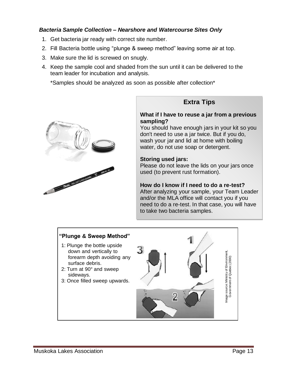#### *Bacteria Sample Collection – Nearshore and Watercourse Sites Only*

- 1. Get bacteria jar ready with correct site number.
- 2. Fill Bacteria bottle using "plunge & sweep method" leaving some air at top.
- 3. Make sure the lid is screwed on snugly.
- 4. Keep the sample cool and shaded from the sun until it can be delivered to the team leader for incubation and analysis.

\*Samples should be analyzed as soon as possible after collection\*



#### **Extra Tips**

#### **What if I have to reuse a jar from a previous sampling?**

You should have enough jars in your kit so you don't need to use a jar twice. But if you do, wash your jar and lid at home with boiling water, do not use soap or detergent.

#### **Storing used jars:**

Please do not leave the lids on your jars once used (to prevent rust formation).

#### **How do I know if I need to do a re-test?**

After analyzing your sample, your Team Leader and/or the MLA office will contact you if you need to do a re-test. In that case, you will have to take two bacteria samples.

#### **"Plunge & Sweep Method"**

- 1: Plunge the bottle upside down and vertically to forearm depth avoiding any surface debris.
- 2: Turn at 90° and sweep sideways.
- 3: Once filled sweep upwards.

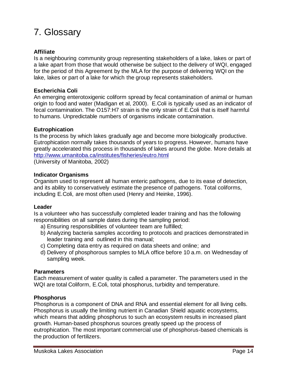# 7. Glossary

#### **Affiliate**

Is a neighbouring community group representing stakeholders of a lake, lakes or part of a lake apart from those that would otherwise be subject to the delivery of WQI, engaged for the period of this Agreement by the MLA for the purpose of delivering WQI on the lake, lakes or part of a lake for which the group represents stakeholders.

#### **Escherichia Coli**

An emerging enterotoxigenic coliform spread by fecal contamination of animal or human origin to food and water (Madigan et al, 2000). E.Coli is typically used as an indicator of fecal contamination. The O157:H7 strain is the only strain of E.Coli that is itself harmful to humans. Unpredictable numbers of organisms indicate contamination.

#### **Eutrophication**

Is the process by which lakes gradually age and become more biologically productive. Eutrophication normally takes thousands of years to progress. However, humans have greatly accelerated this process in thousands of lakes around the globe. More details at <http://www.umanitoba.ca/institutes/fisheries/eutro.html> (University of Manitoba, 2002)

#### **Indicator Organisms**

Organism used to represent all human enteric pathogens, due to its ease of detection, and its ability to conservatively estimate the presence of pathogens. Total coliforms, including E.Coli, are most often used (Henry and Heinke, 1996).

#### **Leader**

Is a volunteer who has successfully completed leader training and has the following responsibilities on all sample dates during the sampling period:

- a) Ensuring responsibilities of volunteer team are fulfilled;
- b) Analyzing bacteria samples according to protocols and practices demonstrated in leader training and outlined in this manual;
- c) Completing data entry as required on data sheets and online; and
- d) Delivery of phosphorous samples to MLA office before 10 a.m. on Wednesday of sampling week.

#### **Parameters**

Each measurement of water quality is called a parameter. The parameters used in the WQI are total Coliform, E.Coli, total phosphorus, turbidity and temperature.

#### **Phosphorus**

Phosphorus is a component of DNA and RNA and essential element for all living cells. Phosphorus is usually the limiting nutrient in Canadian Shield aquatic ecosystems, which means that adding phosphorus to such an ecosystem results in increased plant growth. Human-based phosphorus sources greatly speed up the process of eutrophication. The most important commercial use of phosphorus-based chemicals is the production of fertilizers.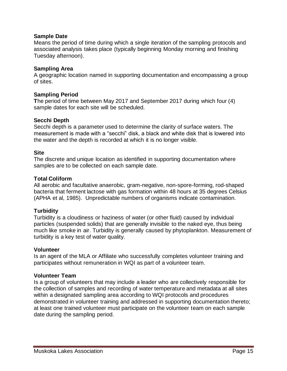#### **Sample Date**

Means the period of time during which a single iteration of the sampling protocols and associated analysis takes place (typically beginning Monday morning and finishing Tuesday afternoon).

#### **Sampling Area**

A geographic location named in supporting documentation and encompassing a group of sites.

#### **Sampling Period**

**T**he period of time between May 2017 and September 2017 during which four (4) sample dates for each site will be scheduled.

#### **Secchi Depth**

Secchi depth is a parameter used to determine the clarity of surface waters. The measurement is made with a "secchi" disk, a black and white disk that is lowered into the water and the depth is recorded at which it is no longer visible.

#### **Site**

The discrete and unique location as identified in supporting documentation where samples are to be collected on each sample date.

#### **Total Coliform**

All aerobic and facultative anaerobic, gram-negative, non-spore-forming, rod-shaped bacteria that ferment lactose with gas formation within 48 hours at 35 degrees Celsius (APHA et al, 1985). Unpredictable numbers of organisms indicate contamination.

#### **Turbidity**

Turbidity is a cloudiness or haziness of water (or other fluid) caused by individual particles (suspended solids) that are generally invisible to the naked eye, thus being much like smoke in air. Turbidity is generally caused by phytoplankton. Measurement of turbidity is a key test of water quality.

#### **Volunteer**

Is an agent of the MLA or Affiliate who successfully completes volunteer training and participates without remuneration in WQI as part of a volunteer team.

#### **Volunteer Team**

Is a group of volunteers that may include a leader who are collectively responsible for the collection of samples and recording of water temperature and metadata at all sites within a designated sampling area according to WQI protocols and procedures demonstrated in volunteer training and addressed in supporting documentation thereto; at least one trained volunteer must participate on the volunteer team on each sample date during the sampling period.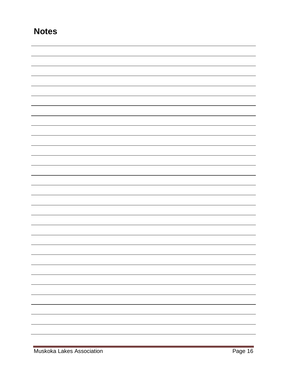